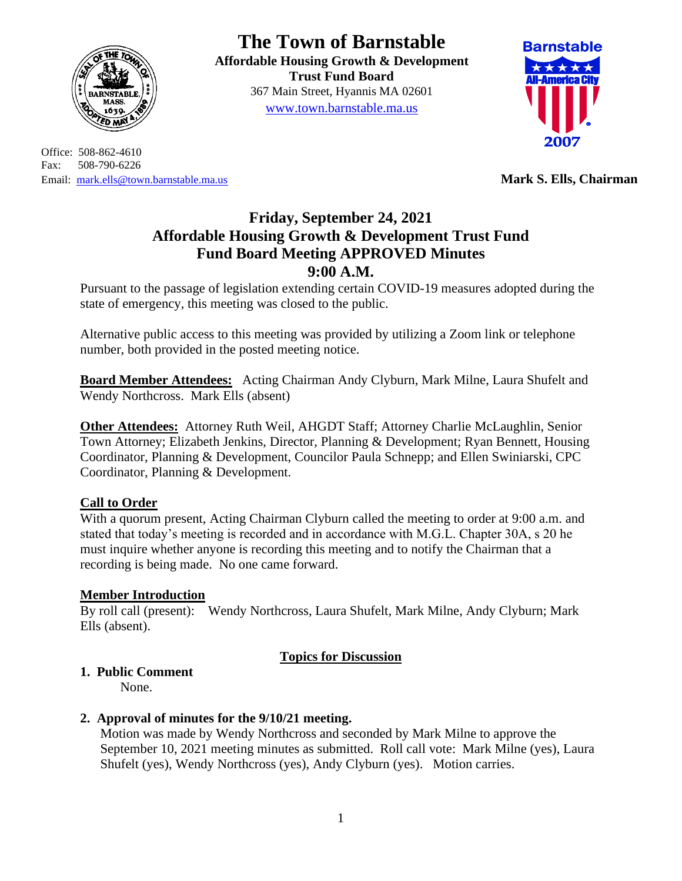

Office: 508-862-4610 Fax: 508-790-6226 Email: [mark.ells@town.barnstable.ma.us](mailto:mark.ells@town.barnstable.ma.us) **Mark S. Ells, Chairman**

# **The Town of Barnstable**

**Affordable Housing Growth & Development Trust Fund Board**  367 Main Street, Hyannis MA 02601 [www.town.barnstable.ma.us](http://www.town.barnstable.ma.us/)



# **Friday, September 24, 2021 Affordable Housing Growth & Development Trust Fund Fund Board Meeting APPROVED Minutes 9:00 A.M.**

Pursuant to the passage of legislation extending certain COVID-19 measures adopted during the state of emergency, this meeting was closed to the public.

Alternative public access to this meeting was provided by utilizing a Zoom link or telephone number, both provided in the posted meeting notice.

**Board Member Attendees:** Acting Chairman Andy Clyburn, Mark Milne, Laura Shufelt and Wendy Northcross. Mark Ells (absent)

**Other Attendees:** Attorney Ruth Weil, AHGDT Staff; Attorney Charlie McLaughlin, Senior Town Attorney; Elizabeth Jenkins, Director, Planning & Development; Ryan Bennett, Housing Coordinator, Planning & Development, Councilor Paula Schnepp; and Ellen Swiniarski, CPC Coordinator, Planning & Development.

## **Call to Order**

With a quorum present, Acting Chairman Clyburn called the meeting to order at 9:00 a.m. and stated that today's meeting is recorded and in accordance with M.G.L. Chapter 30A, s 20 he must inquire whether anyone is recording this meeting and to notify the Chairman that a recording is being made. No one came forward.

#### **Member Introduction**

By roll call (present): Wendy Northcross, Laura Shufelt, Mark Milne, Andy Clyburn; Mark Ells (absent).

## **Topics for Discussion**

## **1. Public Comment**

None.

## **2. Approval of minutes for the 9/10/21 meeting.**

Motion was made by Wendy Northcross and seconded by Mark Milne to approve the September 10, 2021 meeting minutes as submitted. Roll call vote: Mark Milne (yes), Laura Shufelt (yes), Wendy Northcross (yes), Andy Clyburn (yes). Motion carries.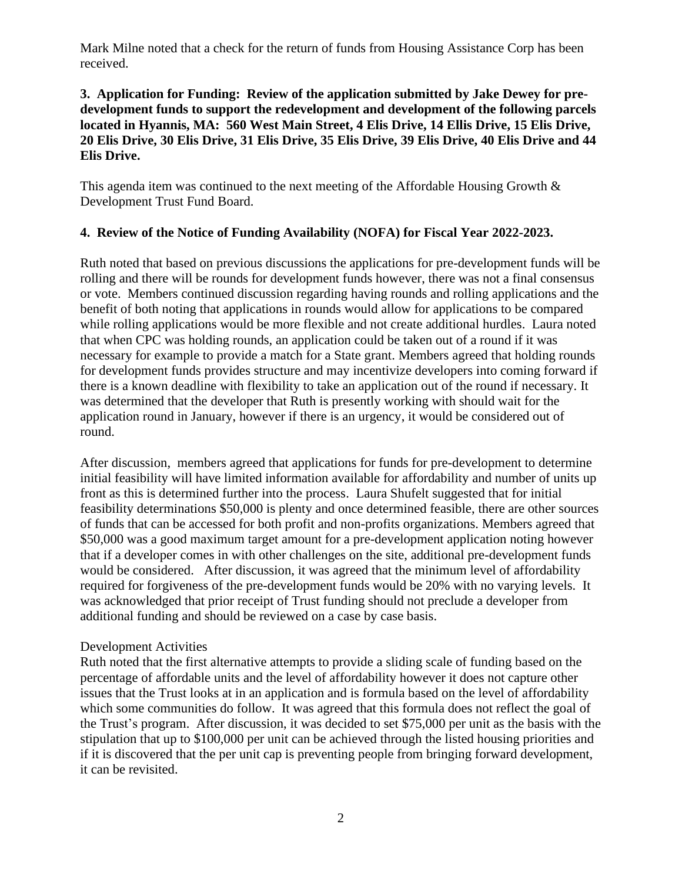Mark Milne noted that a check for the return of funds from Housing Assistance Corp has been received.

#### **3. Application for Funding: Review of the application submitted by Jake Dewey for predevelopment funds to support the redevelopment and development of the following parcels located in Hyannis, MA: 560 West Main Street, 4 Elis Drive, 14 Ellis Drive, 15 Elis Drive, 20 Elis Drive, 30 Elis Drive, 31 Elis Drive, 35 Elis Drive, 39 Elis Drive, 40 Elis Drive and 44 Elis Drive.**

This agenda item was continued to the next meeting of the Affordable Housing Growth & Development Trust Fund Board.

### **4. Review of the Notice of Funding Availability (NOFA) for Fiscal Year 2022-2023.**

Ruth noted that based on previous discussions the applications for pre-development funds will be rolling and there will be rounds for development funds however, there was not a final consensus or vote. Members continued discussion regarding having rounds and rolling applications and the benefit of both noting that applications in rounds would allow for applications to be compared while rolling applications would be more flexible and not create additional hurdles. Laura noted that when CPC was holding rounds, an application could be taken out of a round if it was necessary for example to provide a match for a State grant. Members agreed that holding rounds for development funds provides structure and may incentivize developers into coming forward if there is a known deadline with flexibility to take an application out of the round if necessary. It was determined that the developer that Ruth is presently working with should wait for the application round in January, however if there is an urgency, it would be considered out of round.

After discussion, members agreed that applications for funds for pre-development to determine initial feasibility will have limited information available for affordability and number of units up front as this is determined further into the process. Laura Shufelt suggested that for initial feasibility determinations \$50,000 is plenty and once determined feasible, there are other sources of funds that can be accessed for both profit and non-profits organizations. Members agreed that \$50,000 was a good maximum target amount for a pre-development application noting however that if a developer comes in with other challenges on the site, additional pre-development funds would be considered. After discussion, it was agreed that the minimum level of affordability required for forgiveness of the pre-development funds would be 20% with no varying levels. It was acknowledged that prior receipt of Trust funding should not preclude a developer from additional funding and should be reviewed on a case by case basis.

#### Development Activities

Ruth noted that the first alternative attempts to provide a sliding scale of funding based on the percentage of affordable units and the level of affordability however it does not capture other issues that the Trust looks at in an application and is formula based on the level of affordability which some communities do follow. It was agreed that this formula does not reflect the goal of the Trust's program. After discussion, it was decided to set \$75,000 per unit as the basis with the stipulation that up to \$100,000 per unit can be achieved through the listed housing priorities and if it is discovered that the per unit cap is preventing people from bringing forward development, it can be revisited.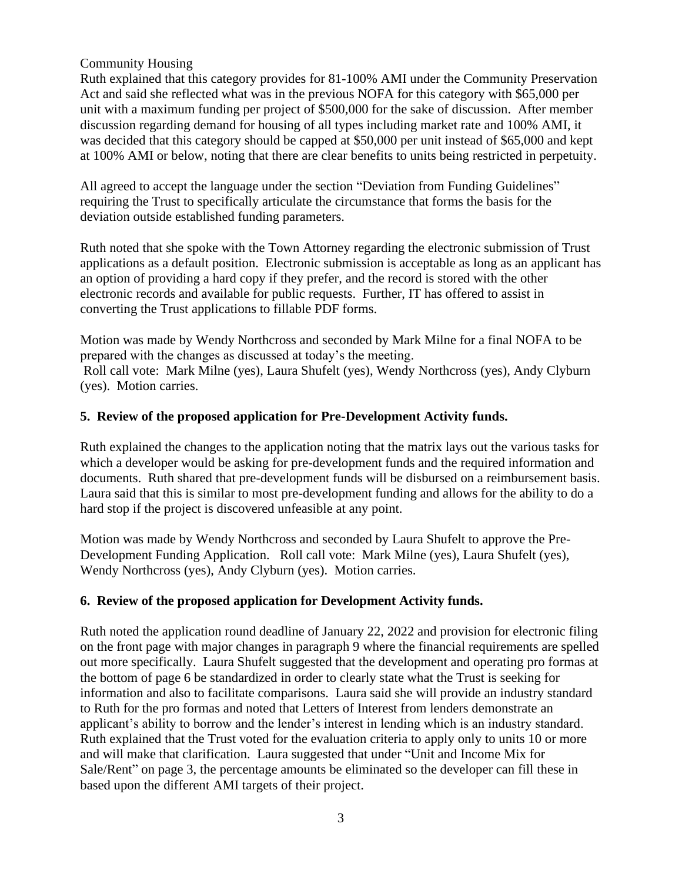#### Community Housing

Ruth explained that this category provides for 81-100% AMI under the Community Preservation Act and said she reflected what was in the previous NOFA for this category with \$65,000 per unit with a maximum funding per project of \$500,000 for the sake of discussion. After member discussion regarding demand for housing of all types including market rate and 100% AMI, it was decided that this category should be capped at \$50,000 per unit instead of \$65,000 and kept at 100% AMI or below, noting that there are clear benefits to units being restricted in perpetuity.

All agreed to accept the language under the section "Deviation from Funding Guidelines" requiring the Trust to specifically articulate the circumstance that forms the basis for the deviation outside established funding parameters.

Ruth noted that she spoke with the Town Attorney regarding the electronic submission of Trust applications as a default position. Electronic submission is acceptable as long as an applicant has an option of providing a hard copy if they prefer, and the record is stored with the other electronic records and available for public requests. Further, IT has offered to assist in converting the Trust applications to fillable PDF forms.

Motion was made by Wendy Northcross and seconded by Mark Milne for a final NOFA to be prepared with the changes as discussed at today's the meeting. Roll call vote: Mark Milne (yes), Laura Shufelt (yes), Wendy Northcross (yes), Andy Clyburn (yes). Motion carries.

#### **5. Review of the proposed application for Pre-Development Activity funds.**

Ruth explained the changes to the application noting that the matrix lays out the various tasks for which a developer would be asking for pre-development funds and the required information and documents. Ruth shared that pre-development funds will be disbursed on a reimbursement basis. Laura said that this is similar to most pre-development funding and allows for the ability to do a hard stop if the project is discovered unfeasible at any point.

Motion was made by Wendy Northcross and seconded by Laura Shufelt to approve the Pre-Development Funding Application. Roll call vote: Mark Milne (yes), Laura Shufelt (yes), Wendy Northcross (yes), Andy Clyburn (yes). Motion carries.

#### **6. Review of the proposed application for Development Activity funds.**

Ruth noted the application round deadline of January 22, 2022 and provision for electronic filing on the front page with major changes in paragraph 9 where the financial requirements are spelled out more specifically. Laura Shufelt suggested that the development and operating pro formas at the bottom of page 6 be standardized in order to clearly state what the Trust is seeking for information and also to facilitate comparisons. Laura said she will provide an industry standard to Ruth for the pro formas and noted that Letters of Interest from lenders demonstrate an applicant's ability to borrow and the lender's interest in lending which is an industry standard. Ruth explained that the Trust voted for the evaluation criteria to apply only to units 10 or more and will make that clarification. Laura suggested that under "Unit and Income Mix for Sale/Rent" on page 3, the percentage amounts be eliminated so the developer can fill these in based upon the different AMI targets of their project.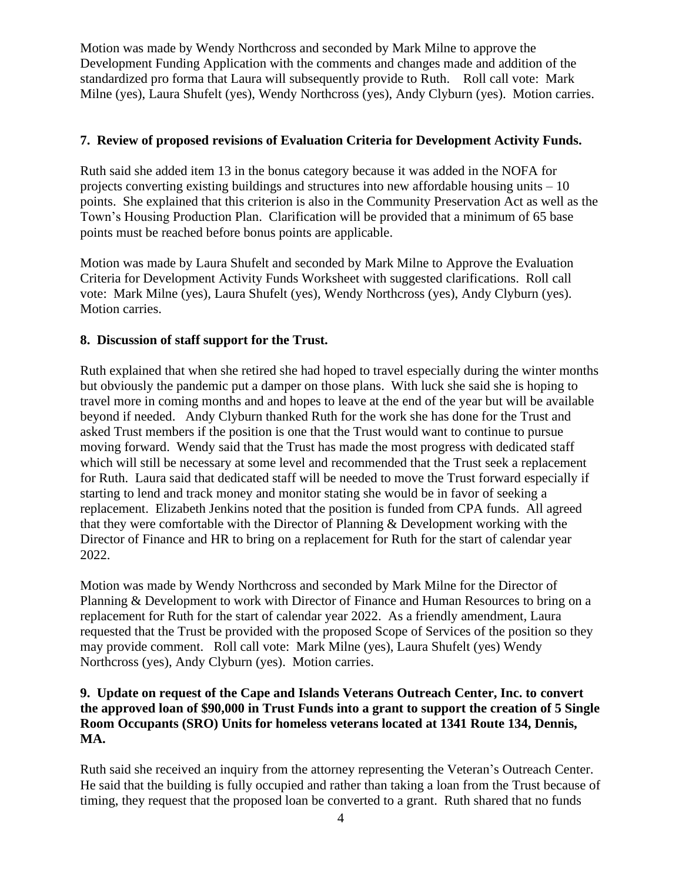Motion was made by Wendy Northcross and seconded by Mark Milne to approve the Development Funding Application with the comments and changes made and addition of the standardized pro forma that Laura will subsequently provide to Ruth. Roll call vote: Mark Milne (yes), Laura Shufelt (yes), Wendy Northcross (yes), Andy Clyburn (yes). Motion carries.

#### **7. Review of proposed revisions of Evaluation Criteria for Development Activity Funds.**

Ruth said she added item 13 in the bonus category because it was added in the NOFA for projects converting existing buildings and structures into new affordable housing units – 10 points. She explained that this criterion is also in the Community Preservation Act as well as the Town's Housing Production Plan. Clarification will be provided that a minimum of 65 base points must be reached before bonus points are applicable.

Motion was made by Laura Shufelt and seconded by Mark Milne to Approve the Evaluation Criteria for Development Activity Funds Worksheet with suggested clarifications. Roll call vote: Mark Milne (yes), Laura Shufelt (yes), Wendy Northcross (yes), Andy Clyburn (yes). Motion carries.

#### **8. Discussion of staff support for the Trust.**

Ruth explained that when she retired she had hoped to travel especially during the winter months but obviously the pandemic put a damper on those plans. With luck she said she is hoping to travel more in coming months and and hopes to leave at the end of the year but will be available beyond if needed. Andy Clyburn thanked Ruth for the work she has done for the Trust and asked Trust members if the position is one that the Trust would want to continue to pursue moving forward. Wendy said that the Trust has made the most progress with dedicated staff which will still be necessary at some level and recommended that the Trust seek a replacement for Ruth. Laura said that dedicated staff will be needed to move the Trust forward especially if starting to lend and track money and monitor stating she would be in favor of seeking a replacement. Elizabeth Jenkins noted that the position is funded from CPA funds. All agreed that they were comfortable with the Director of Planning & Development working with the Director of Finance and HR to bring on a replacement for Ruth for the start of calendar year 2022.

Motion was made by Wendy Northcross and seconded by Mark Milne for the Director of Planning & Development to work with Director of Finance and Human Resources to bring on a replacement for Ruth for the start of calendar year 2022. As a friendly amendment, Laura requested that the Trust be provided with the proposed Scope of Services of the position so they may provide comment. Roll call vote: Mark Milne (yes), Laura Shufelt (yes) Wendy Northcross (yes), Andy Clyburn (yes). Motion carries.

#### **9. Update on request of the Cape and Islands Veterans Outreach Center, Inc. to convert the approved loan of \$90,000 in Trust Funds into a grant to support the creation of 5 Single Room Occupants (SRO) Units for homeless veterans located at 1341 Route 134, Dennis, MA.**

Ruth said she received an inquiry from the attorney representing the Veteran's Outreach Center. He said that the building is fully occupied and rather than taking a loan from the Trust because of timing, they request that the proposed loan be converted to a grant. Ruth shared that no funds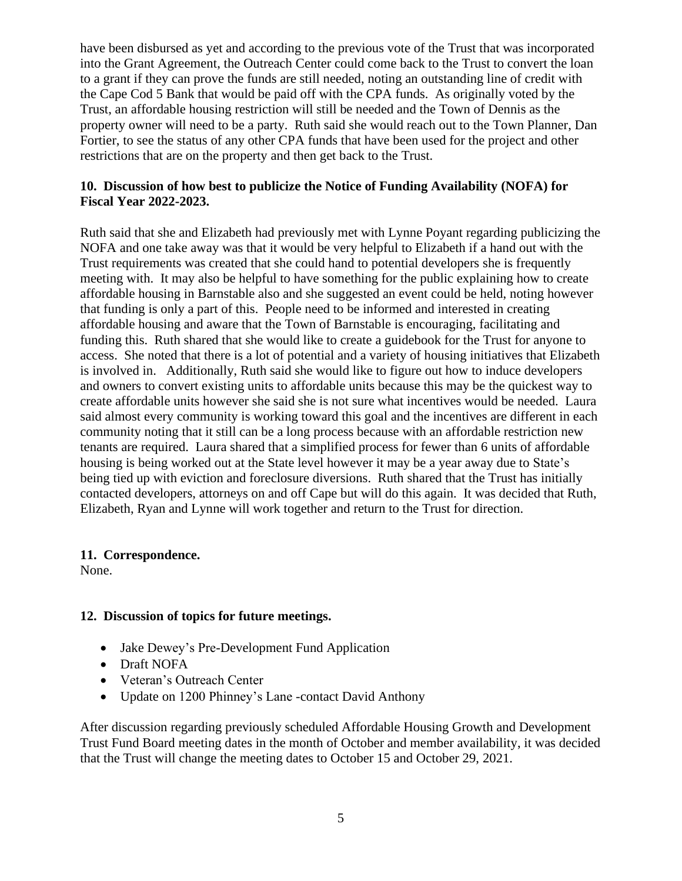have been disbursed as yet and according to the previous vote of the Trust that was incorporated into the Grant Agreement, the Outreach Center could come back to the Trust to convert the loan to a grant if they can prove the funds are still needed, noting an outstanding line of credit with the Cape Cod 5 Bank that would be paid off with the CPA funds. As originally voted by the Trust, an affordable housing restriction will still be needed and the Town of Dennis as the property owner will need to be a party. Ruth said she would reach out to the Town Planner, Dan Fortier, to see the status of any other CPA funds that have been used for the project and other restrictions that are on the property and then get back to the Trust.

#### **10. Discussion of how best to publicize the Notice of Funding Availability (NOFA) for Fiscal Year 2022-2023.**

Ruth said that she and Elizabeth had previously met with Lynne Poyant regarding publicizing the NOFA and one take away was that it would be very helpful to Elizabeth if a hand out with the Trust requirements was created that she could hand to potential developers she is frequently meeting with. It may also be helpful to have something for the public explaining how to create affordable housing in Barnstable also and she suggested an event could be held, noting however that funding is only a part of this. People need to be informed and interested in creating affordable housing and aware that the Town of Barnstable is encouraging, facilitating and funding this. Ruth shared that she would like to create a guidebook for the Trust for anyone to access. She noted that there is a lot of potential and a variety of housing initiatives that Elizabeth is involved in. Additionally, Ruth said she would like to figure out how to induce developers and owners to convert existing units to affordable units because this may be the quickest way to create affordable units however she said she is not sure what incentives would be needed. Laura said almost every community is working toward this goal and the incentives are different in each community noting that it still can be a long process because with an affordable restriction new tenants are required. Laura shared that a simplified process for fewer than 6 units of affordable housing is being worked out at the State level however it may be a year away due to State's being tied up with eviction and foreclosure diversions. Ruth shared that the Trust has initially contacted developers, attorneys on and off Cape but will do this again. It was decided that Ruth, Elizabeth, Ryan and Lynne will work together and return to the Trust for direction.

#### **11. Correspondence.**

None.

#### **12. Discussion of topics for future meetings.**

- Jake Dewey's Pre-Development Fund Application
- Draft NOFA
- Veteran's Outreach Center
- Update on 1200 Phinney's Lane -contact David Anthony

After discussion regarding previously scheduled Affordable Housing Growth and Development Trust Fund Board meeting dates in the month of October and member availability, it was decided that the Trust will change the meeting dates to October 15 and October 29, 2021.